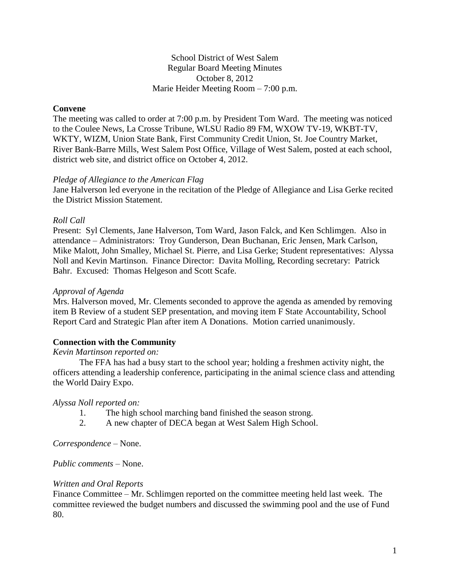School District of West Salem Regular Board Meeting Minutes October 8, 2012 Marie Heider Meeting Room – 7:00 p.m.

### **Convene**

The meeting was called to order at 7:00 p.m. by President Tom Ward. The meeting was noticed to the Coulee News, La Crosse Tribune, WLSU Radio 89 FM, WXOW TV-19, WKBT-TV, WKTY, WIZM, Union State Bank, First Community Credit Union, St. Joe Country Market, River Bank-Barre Mills, West Salem Post Office, Village of West Salem, posted at each school, district web site, and district office on October 4, 2012.

#### *Pledge of Allegiance to the American Flag*

Jane Halverson led everyone in the recitation of the Pledge of Allegiance and Lisa Gerke recited the District Mission Statement.

### *Roll Call*

Present: Syl Clements, Jane Halverson, Tom Ward, Jason Falck, and Ken Schlimgen. Also in attendance – Administrators: Troy Gunderson, Dean Buchanan, Eric Jensen, Mark Carlson, Mike Malott, John Smalley, Michael St. Pierre, and Lisa Gerke; Student representatives: Alyssa Noll and Kevin Martinson. Finance Director: Davita Molling, Recording secretary: Patrick Bahr. Excused: Thomas Helgeson and Scott Scafe.

#### *Approval of Agenda*

Mrs. Halverson moved, Mr. Clements seconded to approve the agenda as amended by removing item B Review of a student SEP presentation, and moving item F State Accountability, School Report Card and Strategic Plan after item A Donations. Motion carried unanimously.

### **Connection with the Community**

#### *Kevin Martinson reported on:*

The FFA has had a busy start to the school year; holding a freshmen activity night, the officers attending a leadership conference, participating in the animal science class and attending the World Dairy Expo.

#### *Alyssa Noll reported on:*

- 1. The high school marching band finished the season strong.
- 2. A new chapter of DECA began at West Salem High School.

*Correspondence* – None.

*Public comments –* None.

#### *Written and Oral Reports*

Finance Committee – Mr. Schlimgen reported on the committee meeting held last week. The committee reviewed the budget numbers and discussed the swimming pool and the use of Fund 80.